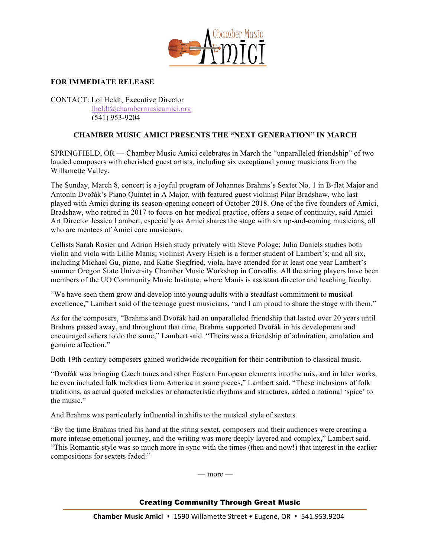

## **FOR IMMEDIATE RELEASE**

CONTACT: Loi Heldt, Executive Director lheldt@chambermusicamici.org (541) 953-9204

## **CHAMBER MUSIC AMICI PRESENTS THE "NEXT GENERATION" IN MARCH**

SPRINGFIELD, OR — Chamber Music Amici celebrates in March the "unparalleled friendship" of two lauded composers with cherished guest artists, including six exceptional young musicians from the Willamette Valley.

The Sunday, March 8, concert is a joyful program of Johannes Brahms's Sextet No. 1 in B-flat Major and Antonín Dvořák's Piano Quintet in A Major, with featured guest violinist Pilar Bradshaw, who last played with Amici during its season-opening concert of October 2018. One of the five founders of Amici, Bradshaw, who retired in 2017 to focus on her medical practice, offers a sense of continuity, said Amici Art Director Jessica Lambert, especially as Amici shares the stage with six up-and-coming musicians, all who are mentees of Amici core musicians.

Cellists Sarah Rosier and Adrian Hsieh study privately with Steve Pologe; Julia Daniels studies both violin and viola with Lillie Manis; violinist Avery Hsieh is a former student of Lambert's; and all six, including Michael Gu, piano, and Katie Siegfried, viola, have attended for at least one year Lambert's summer Oregon State University Chamber Music Workshop in Corvallis. All the string players have been members of the UO Community Music Institute, where Manis is assistant director and teaching faculty.

"We have seen them grow and develop into young adults with a steadfast commitment to musical excellence," Lambert said of the teenage guest musicians, "and I am proud to share the stage with them."

As for the composers, "Brahms and Dvořák had an unparalleled friendship that lasted over 20 years until Brahms passed away, and throughout that time, Brahms supported Dvořák in his development and encouraged others to do the same," Lambert said. "Theirs was a friendship of admiration, emulation and genuine affection."

Both 19th century composers gained worldwide recognition for their contribution to classical music.

"Dvořák was bringing Czech tunes and other Eastern European elements into the mix, and in later works, he even included folk melodies from America in some pieces," Lambert said. "These inclusions of folk traditions, as actual quoted melodies or characteristic rhythms and structures, added a national 'spice' to the music."

And Brahms was particularly influential in shifts to the musical style of sextets.

"By the time Brahms tried his hand at the string sextet, composers and their audiences were creating a more intense emotional journey, and the writing was more deeply layered and complex," Lambert said. "This Romantic style was so much more in sync with the times (then and now!) that interest in the earlier compositions for sextets faded."

 $-$  more  $-$ 

## Creating Community Through Great Music